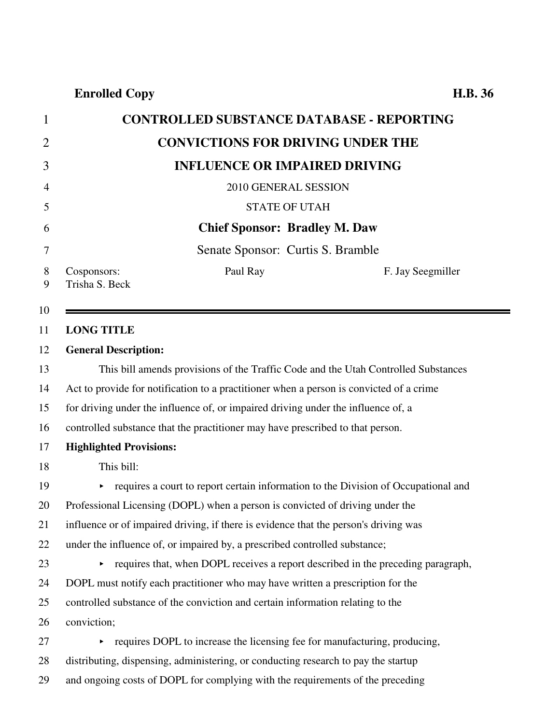1 **CONTROLLED SUBSTANCE DATABASE - REPORTING** 2 **CONVICTIONS FOR DRIVING UNDER THE** 3 **INFLUENCE OR IMPAIRED DRIVING** 4 2010 GENERAL SESSION 5 STATE OF UTAH 6 **Chief Sponsor: Bradley M. Daw** 7 Senate Sponsor: Curtis S. Bramble 8 Cosponsors: 9 Trisha S. Beck Paul Ray F. Jay Seegmiller 10 11 **LONG TITLE** 12 **General Description:** 13 This bill amends provisions of the Traffic Code and the Utah Controlled Substances 14 Act to provide for notification to a practitioner when a person is convicted of a crime 15 for driving under the influence of, or impaired driving under the influence of, a 16 controlled substance that the practitioner may have prescribed to that person. 17 **Highlighted Provisions:** 18 This bill: 19 requires a court to report certain information to the Division of Occupational and 20 Professional Licensing (DOPL) when a person is convicted of driving under the 21 influence or of impaired driving, if there is evidence that the person's driving was 22 under the influence of, or impaired by, a prescribed controlled substance;  $23$  equires that, when DOPL receives a report described in the preceding paragraph, 24 DOPL must notify each practitioner who may have written a prescription for the 25 controlled substance of the conviction and certain information relating to the 26 conviction;  $27$  equires DOPL to increase the licensing fee for manufacturing, producing, 28 distributing, dispensing, administering, or conducting research to pay the startup 29 and ongoing costs of DOPL for complying with the requirements of the preceding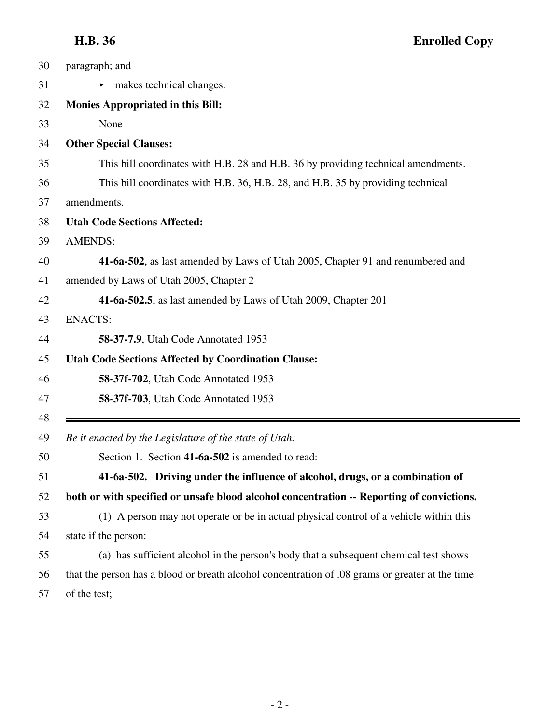| 30 | paragraph; and                                                                                  |
|----|-------------------------------------------------------------------------------------------------|
| 31 | makes technical changes.                                                                        |
| 32 | <b>Monies Appropriated in this Bill:</b>                                                        |
| 33 | None                                                                                            |
| 34 | <b>Other Special Clauses:</b>                                                                   |
| 35 | This bill coordinates with H.B. 28 and H.B. 36 by providing technical amendments.               |
| 36 | This bill coordinates with H.B. 36, H.B. 28, and H.B. 35 by providing technical                 |
| 37 | amendments.                                                                                     |
| 38 | <b>Utah Code Sections Affected:</b>                                                             |
| 39 | <b>AMENDS:</b>                                                                                  |
| 40 | 41-6a-502, as last amended by Laws of Utah 2005, Chapter 91 and renumbered and                  |
| 41 | amended by Laws of Utah 2005, Chapter 2                                                         |
| 42 | 41-6a-502.5, as last amended by Laws of Utah 2009, Chapter 201                                  |
| 43 | <b>ENACTS:</b>                                                                                  |
| 44 | <b>58-37-7.9, Utah Code Annotated 1953</b>                                                      |
| 45 | <b>Utah Code Sections Affected by Coordination Clause:</b>                                      |
| 46 | 58-37f-702, Utah Code Annotated 1953                                                            |
| 47 | 58-37f-703, Utah Code Annotated 1953                                                            |
| 48 |                                                                                                 |
| 49 | Be it enacted by the Legislature of the state of Utah:                                          |
| 50 | Section 1. Section 41-6a-502 is amended to read:                                                |
| 51 | 41-6a-502. Driving under the influence of alcohol, drugs, or a combination of                   |
| 52 | both or with specified or unsafe blood alcohol concentration -- Reporting of convictions.       |
| 53 | (1) A person may not operate or be in actual physical control of a vehicle within this          |
| 54 | state if the person:                                                                            |
| 55 | (a) has sufficient alcohol in the person's body that a subsequent chemical test shows           |
| 56 | that the person has a blood or breath alcohol concentration of .08 grams or greater at the time |
| 57 | of the test;                                                                                    |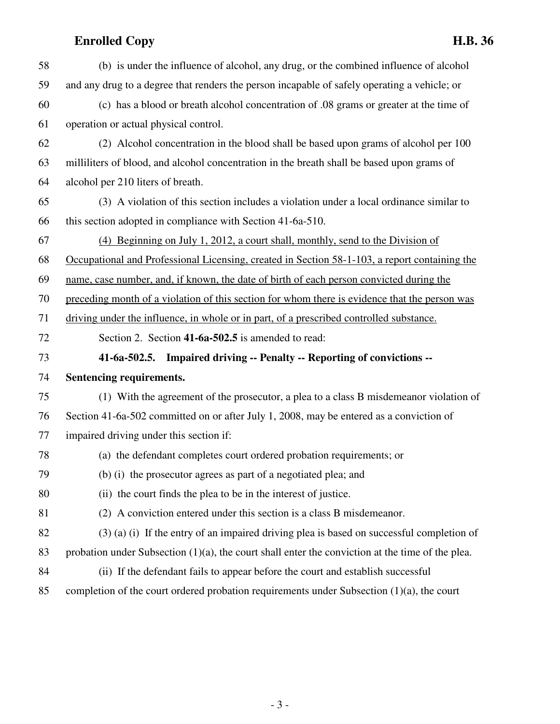| 58 | (b) is under the influence of alcohol, any drug, or the combined influence of alcohol               |
|----|-----------------------------------------------------------------------------------------------------|
| 59 | and any drug to a degree that renders the person incapable of safely operating a vehicle; or        |
| 60 | (c) has a blood or breath alcohol concentration of .08 grams or greater at the time of              |
| 61 | operation or actual physical control.                                                               |
| 62 | (2) Alcohol concentration in the blood shall be based upon grams of alcohol per 100                 |
| 63 | milliliters of blood, and alcohol concentration in the breath shall be based upon grams of          |
| 64 | alcohol per 210 liters of breath.                                                                   |
| 65 | (3) A violation of this section includes a violation under a local ordinance similar to             |
| 66 | this section adopted in compliance with Section 41-6a-510.                                          |
| 67 | (4) Beginning on July 1, 2012, a court shall, monthly, send to the Division of                      |
| 68 | Occupational and Professional Licensing, created in Section 58-1-103, a report containing the       |
| 69 | name, case number, and, if known, the date of birth of each person convicted during the             |
| 70 | preceding month of a violation of this section for whom there is evidence that the person was       |
| 71 | driving under the influence, in whole or in part, of a prescribed controlled substance.             |
| 72 | Section 2. Section 41-6a-502.5 is amended to read:                                                  |
| 73 | 41-6a-502.5. Impaired driving -- Penalty -- Reporting of convictions --                             |
| 74 | Sentencing requirements.                                                                            |
| 75 | (1) With the agreement of the prosecutor, a plea to a class B misdemeanor violation of              |
| 76 | Section 41-6a-502 committed on or after July 1, 2008, may be entered as a conviction of             |
| 77 | impaired driving under this section if:                                                             |
| 78 | (a) the defendant completes court ordered probation requirements; or                                |
| 79 | (b) (i) the prosecutor agrees as part of a negotiated plea; and                                     |
| 80 | (ii) the court finds the plea to be in the interest of justice.                                     |
| 81 | (2) A conviction entered under this section is a class B misdemeanor.                               |
| 82 | $(3)$ (a) (i) If the entry of an impaired driving plea is based on successful completion of         |
| 83 | probation under Subsection $(1)(a)$ , the court shall enter the conviction at the time of the plea. |
| 84 | (ii) If the defendant fails to appear before the court and establish successful                     |
| 85 | completion of the court ordered probation requirements under Subsection $(1)(a)$ , the court        |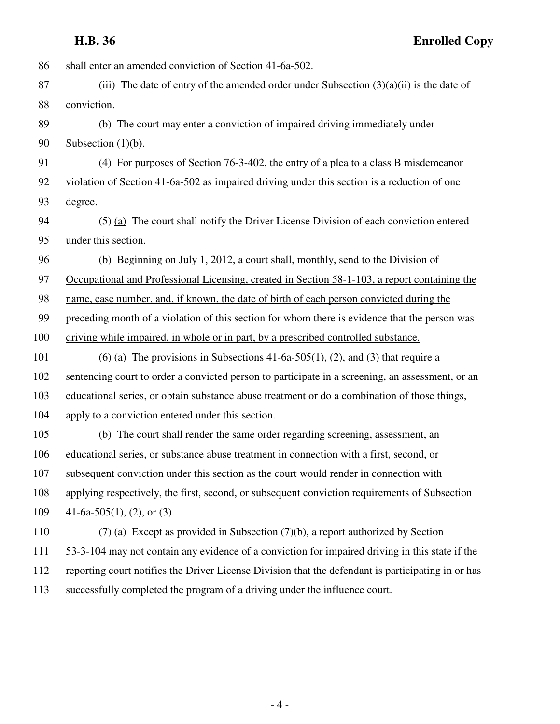**H.B. 36 Enrolled Copy**

| 86  | shall enter an amended conviction of Section 41-6a-502.                                            |
|-----|----------------------------------------------------------------------------------------------------|
| 87  | (iii) The date of entry of the amended order under Subsection $(3)(a)(ii)$ is the date of          |
| 88  | conviction.                                                                                        |
| 89  | (b) The court may enter a conviction of impaired driving immediately under                         |
| 90  | Subsection $(1)(b)$ .                                                                              |
| 91  | (4) For purposes of Section 76-3-402, the entry of a plea to a class B misdemeanor                 |
| 92  | violation of Section 41-6a-502 as impaired driving under this section is a reduction of one        |
| 93  | degree.                                                                                            |
| 94  | $(5)$ (a) The court shall notify the Driver License Division of each conviction entered            |
| 95  | under this section.                                                                                |
| 96  | (b) Beginning on July 1, 2012, a court shall, monthly, send to the Division of                     |
| 97  | Occupational and Professional Licensing, created in Section 58-1-103, a report containing the      |
| 98  | name, case number, and, if known, the date of birth of each person convicted during the            |
| 99  | preceding month of a violation of this section for whom there is evidence that the person was      |
| 100 | driving while impaired, in whole or in part, by a prescribed controlled substance.                 |
| 101 | (6) (a) The provisions in Subsections 41-6a-505(1), (2), and (3) that require a                    |
| 102 | sentencing court to order a convicted person to participate in a screening, an assessment, or an   |
| 103 | educational series, or obtain substance abuse treatment or do a combination of those things,       |
| 104 | apply to a conviction entered under this section.                                                  |
| 105 | (b) The court shall render the same order regarding screening, assessment, an                      |
| 106 | educational series, or substance abuse treatment in connection with a first, second, or            |
| 107 | subsequent conviction under this section as the court would render in connection with              |
| 108 | applying respectively, the first, second, or subsequent conviction requirements of Subsection      |
| 109 | 41-6a-505(1), (2), or (3).                                                                         |
| 110 | $(7)$ (a) Except as provided in Subsection $(7)(b)$ , a report authorized by Section               |
| 111 | 53-3-104 may not contain any evidence of a conviction for impaired driving in this state if the    |
| 112 | reporting court notifies the Driver License Division that the defendant is participating in or has |
| 113 | successfully completed the program of a driving under the influence court.                         |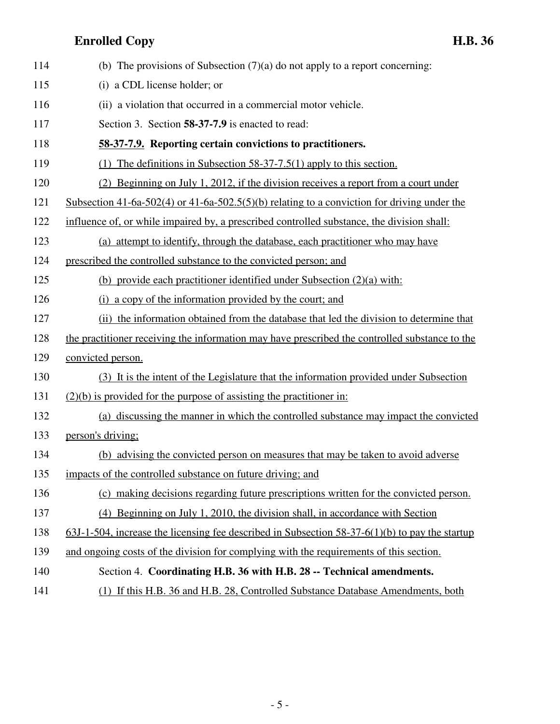| 114  | (b) The provisions of Subsection $(7)(a)$ do not apply to a report concerning:                    |
|------|---------------------------------------------------------------------------------------------------|
| 115  | (i) a CDL license holder; or                                                                      |
| 116  | (ii) a violation that occurred in a commercial motor vehicle.                                     |
| 117  | Section 3. Section 58-37-7.9 is enacted to read:                                                  |
| 118  | 58-37-7.9. Reporting certain convictions to practitioners.                                        |
| 119  | (1) The definitions in Subsection 58-37-7.5(1) apply to this section.                             |
| 120  | (2) Beginning on July 1, 2012, if the division receives a report from a court under               |
| 121  | Subsection 41-6a-502(4) or 41-6a-502.5(5)(b) relating to a conviction for driving under the       |
| 122  | influence of, or while impaired by, a prescribed controlled substance, the division shall:        |
| 123  | (a) attempt to identify, through the database, each practitioner who may have                     |
| 124  | prescribed the controlled substance to the convicted person; and                                  |
| 125  | (b) provide each practitioner identified under Subsection (2)(a) with:                            |
| 126  | (i) a copy of the information provided by the court; and                                          |
| 127  | (ii) the information obtained from the database that led the division to determine that           |
| 128  | the practitioner receiving the information may have prescribed the controlled substance to the    |
| 129  | convicted person.                                                                                 |
| 130  | (3) It is the intent of the Legislature that the information provided under Subsection            |
| 131  | $(2)(b)$ is provided for the purpose of assisting the practitioner in:                            |
| 132  | (a) discussing the manner in which the controlled substance may impact the convicted              |
| 133  | person's driving;                                                                                 |
| 134  | (b) advising the convicted person on measures that may be taken to avoid adverse                  |
| 135  | impacts of the controlled substance on future driving; and                                        |
| 136  | (c) making decisions regarding future prescriptions written for the convicted person.             |
| 137  | (4) Beginning on July 1, 2010, the division shall, in accordance with Section                     |
| 138  | $63J-1-504$ , increase the licensing fee described in Subsection 58-37-6(1)(b) to pay the startup |
| 139  | and ongoing costs of the division for complying with the requirements of this section.            |
| 140  | Section 4. Coordinating H.B. 36 with H.B. 28 -- Technical amendments.                             |
| 1.41 | $A_{n+1}$ IID 26 and IID 20 $C_{n+1}$ and $A_{n+1}$ and $D_{n+1}$                                 |

141 (1) If this H.B. 36 and H.B. 28, Controlled Substance Database Amendments, both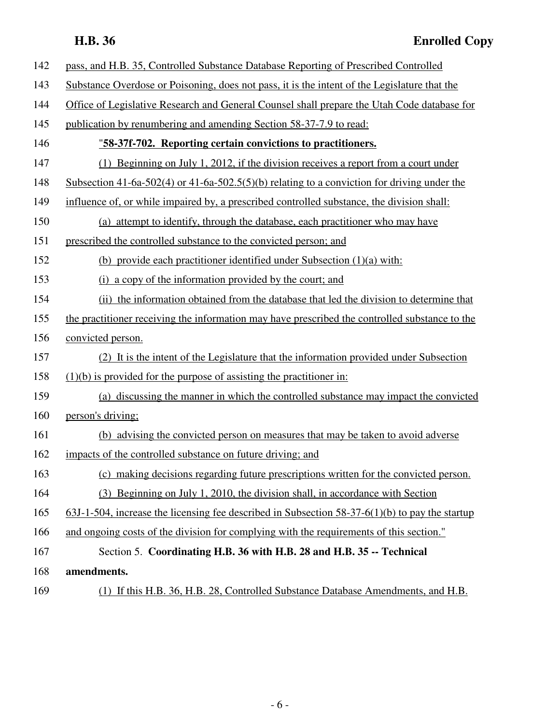| 142 | pass, and H.B. 35, Controlled Substance Database Reporting of Prescribed Controlled               |
|-----|---------------------------------------------------------------------------------------------------|
| 143 | Substance Overdose or Poisoning, does not pass, it is the intent of the Legislature that the      |
| 144 | Office of Legislative Research and General Counsel shall prepare the Utah Code database for       |
| 145 | publication by renumbering and amending Section 58-37-7.9 to read:                                |
| 146 | "58-37f-702. Reporting certain convictions to practitioners.                                      |
| 147 | (1) Beginning on July 1, 2012, if the division receives a report from a court under               |
| 148 | Subsection 41-6a-502(4) or 41-6a-502.5(5)(b) relating to a conviction for driving under the       |
| 149 | influence of, or while impaired by, a prescribed controlled substance, the division shall:        |
| 150 | (a) attempt to identify, through the database, each practitioner who may have                     |
| 151 | prescribed the controlled substance to the convicted person; and                                  |
| 152 | (b) provide each practitioner identified under Subsection (1)(a) with:                            |
| 153 | (i) a copy of the information provided by the court; and                                          |
| 154 | (ii) the information obtained from the database that led the division to determine that           |
| 155 | the practitioner receiving the information may have prescribed the controlled substance to the    |
| 156 | convicted person.                                                                                 |
| 157 | (2) It is the intent of the Legislature that the information provided under Subsection            |
| 158 | $(1)(b)$ is provided for the purpose of assisting the practitioner in:                            |
| 159 | (a) discussing the manner in which the controlled substance may impact the convicted              |
| 160 | person's driving;                                                                                 |
| 161 | (b) advising the convicted person on measures that may be taken to avoid adverse                  |
| 162 | impacts of the controlled substance on future driving; and                                        |
| 163 | (c) making decisions regarding future prescriptions written for the convicted person.             |
| 164 | (3) Beginning on July 1, 2010, the division shall, in accordance with Section                     |
| 165 | $63J-1-504$ , increase the licensing fee described in Subsection 58-37-6(1)(b) to pay the startup |
| 166 | and ongoing costs of the division for complying with the requirements of this section."           |
| 167 | Section 5. Coordinating H.B. 36 with H.B. 28 and H.B. 35 -- Technical                             |
| 168 | amendments.                                                                                       |
| 169 | (1) If this H.B. 36, H.B. 28, Controlled Substance Database Amendments, and H.B.                  |